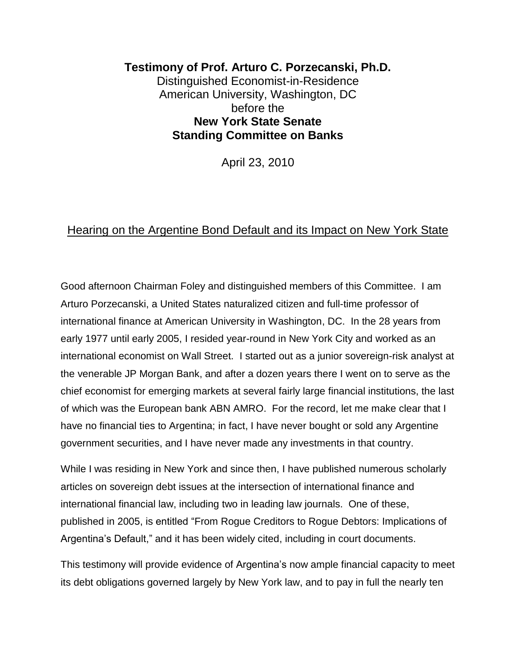## **Testimony of Prof. Arturo C. Porzecanski, Ph.D.** Distinguished Economist-in-Residence American University, Washington, DC before the **New York State Senate Standing Committee on Banks**

April 23, 2010

## Hearing on the Argentine Bond Default and its Impact on New York State

Good afternoon Chairman Foley and distinguished members of this Committee. I am Arturo Porzecanski, a United States naturalized citizen and full-time professor of international finance at American University in Washington, DC. In the 28 years from early 1977 until early 2005, I resided year-round in New York City and worked as an international economist on Wall Street. I started out as a junior sovereign-risk analyst at the venerable JP Morgan Bank, and after a dozen years there I went on to serve as the chief economist for emerging markets at several fairly large financial institutions, the last of which was the European bank ABN AMRO. For the record, let me make clear that I have no financial ties to Argentina; in fact, I have never bought or sold any Argentine government securities, and I have never made any investments in that country.

While I was residing in New York and since then, I have published numerous scholarly articles on sovereign debt issues at the intersection of international finance and international financial law, including two in leading law journals. One of these, published in 2005, is entitled "From Rogue Creditors to Rogue Debtors: Implications of Argentina's Default," and it has been widely cited, including in court documents.

This testimony will provide evidence of Argentina's now ample financial capacity to meet its debt obligations governed largely by New York law, and to pay in full the nearly ten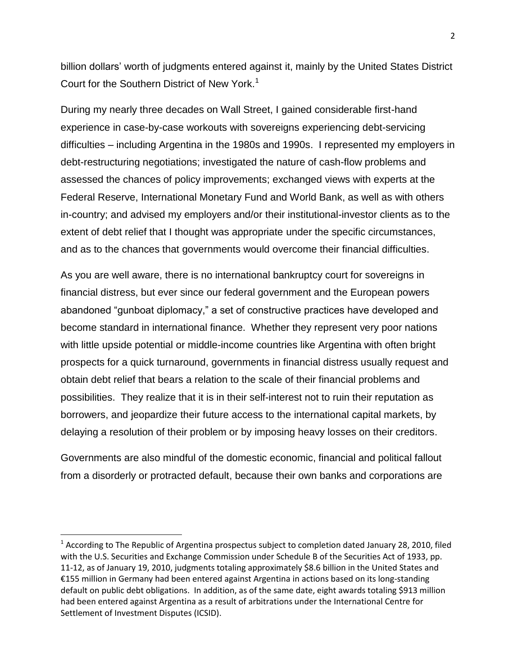billion dollars' worth of judgments entered against it, mainly by the United States District Court for the Southern District of New York.<sup>1</sup>

During my nearly three decades on Wall Street, I gained considerable first-hand experience in case-by-case workouts with sovereigns experiencing debt-servicing difficulties – including Argentina in the 1980s and 1990s. I represented my employers in debt-restructuring negotiations; investigated the nature of cash-flow problems and assessed the chances of policy improvements; exchanged views with experts at the Federal Reserve, International Monetary Fund and World Bank, as well as with others in-country; and advised my employers and/or their institutional-investor clients as to the extent of debt relief that I thought was appropriate under the specific circumstances, and as to the chances that governments would overcome their financial difficulties.

As you are well aware, there is no international bankruptcy court for sovereigns in financial distress, but ever since our federal government and the European powers abandoned "gunboat diplomacy," a set of constructive practices have developed and become standard in international finance. Whether they represent very poor nations with little upside potential or middle-income countries like Argentina with often bright prospects for a quick turnaround, governments in financial distress usually request and obtain debt relief that bears a relation to the scale of their financial problems and possibilities. They realize that it is in their self-interest not to ruin their reputation as borrowers, and jeopardize their future access to the international capital markets, by delaying a resolution of their problem or by imposing heavy losses on their creditors.

Governments are also mindful of the domestic economic, financial and political fallout from a disorderly or protracted default, because their own banks and corporations are

<sup>&</sup>lt;sup>1</sup> According to The Republic of Argentina prospectus subject to completion dated January 28, 2010, filed with the U.S. Securities and Exchange Commission under Schedule B of the Securities Act of 1933, pp. 11-12, as of January 19, 2010, judgments totaling approximately \$8.6 billion in the United States and €155 million in Germany had been entered against Argentina in actions based on its long-standing default on public debt obligations. In addition, as of the same date, eight awards totaling \$913 million had been entered against Argentina as a result of arbitrations under the International Centre for Settlement of Investment Disputes (ICSID).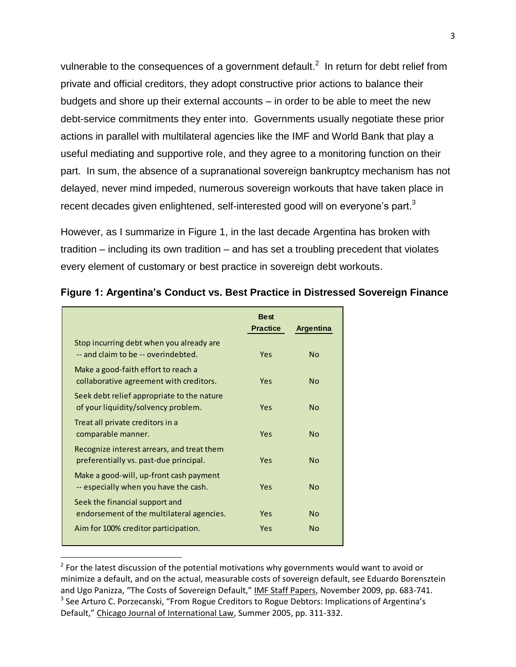vulnerable to the consequences of a government default.<sup>2</sup> In return for debt relief from private and official creditors, they adopt constructive prior actions to balance their budgets and shore up their external accounts – in order to be able to meet the new debt-service commitments they enter into. Governments usually negotiate these prior actions in parallel with multilateral agencies like the IMF and World Bank that play a useful mediating and supportive role, and they agree to a monitoring function on their part. In sum, the absence of a supranational sovereign bankruptcy mechanism has not delayed, never mind impeded, numerous sovereign workouts that have taken place in recent decades given enlightened, self-interested good will on everyone's part.<sup>3</sup>

However, as I summarize in Figure 1, in the last decade Argentina has broken with tradition – including its own tradition – and has set a troubling precedent that violates every element of customary or best practice in sovereign debt workouts.

|                                                                                      | <b>Best</b><br><b>Practice</b> | <b>Argentina</b> |
|--------------------------------------------------------------------------------------|--------------------------------|------------------|
| Stop incurring debt when you already are<br>-- and claim to be -- overindebted.      | Yes                            | No               |
| Make a good-faith effort to reach a<br>collaborative agreement with creditors.       | Yes                            | No               |
| Seek debt relief appropriate to the nature<br>of your liquidity/solvency problem.    | Yes                            | No               |
| Treat all private creditors in a<br>comparable manner.                               | Yes                            | Nο               |
| Recognize interest arrears, and treat them<br>preferentially vs. past-due principal. | Yes                            | No               |
| Make a good-will, up-front cash payment<br>-- especially when you have the cash.     | <b>Yes</b>                     | N <sub>0</sub>   |
| Seek the financial support and<br>endorsement of the multilateral agencies.          | Yes                            | <b>No</b>        |
| Aim for 100% creditor participation.                                                 | Yes                            | No               |

 $\overline{\phantom{a}}$ 

## **Figure 1: Argentina's Conduct vs. Best Practice in Distressed Sovereign Finance**

 $2$  For the latest discussion of the potential motivations why governments would want to avoid or minimize a default, and on the actual, measurable costs of sovereign default, see Eduardo Borensztein and Ugo Panizza, "The Costs of Sovereign Default," IMF Staff Papers, November 2009, pp. 683-741. <sup>3</sup> See Arturo C. Porzecanski, "From Rogue Creditors to Rogue Debtors: Implications of Argentina's Default," Chicago Journal of International Law, Summer 2005, pp. 311-332.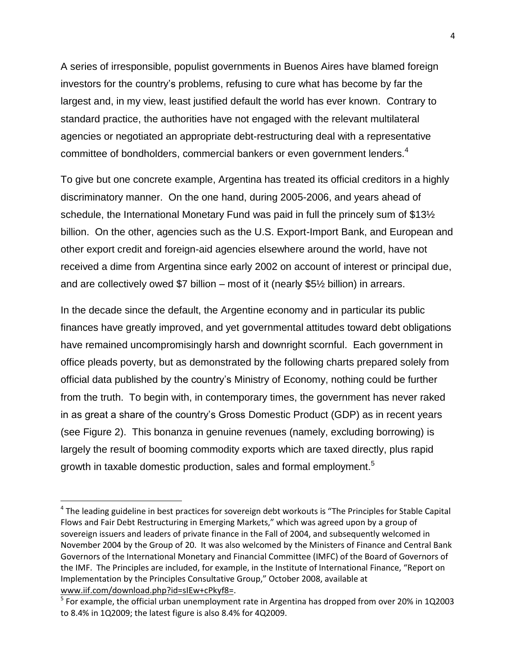A series of irresponsible, populist governments in Buenos Aires have blamed foreign investors for the country's problems, refusing to cure what has become by far the largest and, in my view, least justified default the world has ever known. Contrary to standard practice, the authorities have not engaged with the relevant multilateral agencies or negotiated an appropriate debt-restructuring deal with a representative committee of bondholders, commercial bankers or even government lenders.<sup>4</sup>

To give but one concrete example, Argentina has treated its official creditors in a highly discriminatory manner. On the one hand, during 2005-2006, and years ahead of schedule, the International Monetary Fund was paid in full the princely sum of \$13½ billion. On the other, agencies such as the U.S. Export-Import Bank, and European and other export credit and foreign-aid agencies elsewhere around the world, have not received a dime from Argentina since early 2002 on account of interest or principal due, and are collectively owed \$7 billion – most of it (nearly \$5½ billion) in arrears.

In the decade since the default, the Argentine economy and in particular its public finances have greatly improved, and yet governmental attitudes toward debt obligations have remained uncompromisingly harsh and downright scornful. Each government in office pleads poverty, but as demonstrated by the following charts prepared solely from official data published by the country's Ministry of Economy, nothing could be further from the truth. To begin with, in contemporary times, the government has never raked in as great a share of the country's Gross Domestic Product (GDP) as in recent years (see Figure 2). This bonanza in genuine revenues (namely, excluding borrowing) is largely the result of booming commodity exports which are taxed directly, plus rapid growth in taxable domestic production, sales and formal employment. $^{\rm 5}$ 

 $\overline{\phantom{a}}$ 

<sup>&</sup>lt;sup>4</sup> The leading guideline in best practices for sovereign debt workouts is "The Principles for Stable Capital Flows and Fair Debt Restructuring in Emerging Markets," which was agreed upon by a group of sovereign issuers and leaders of private finance in the Fall of 2004, and subsequently welcomed in November 2004 by the Group of 20. It was also welcomed by the Ministers of Finance and Central Bank Governors of the International Monetary and Financial Committee (IMFC) of the Board of Governors of the IMF. The Principles are included, for example, in the Institute of International Finance, "Report on Implementation by the Principles Consultative Group," October 2008, available at [www.iif.com/download.php?id=sIEw+cPkyf8=.](http://www.iif.com/download.php?id=sIEw+cPkyf8=)

<sup>&</sup>lt;sup>5</sup> For example, the official urban unemployment rate in Argentina has dropped from over 20% in 1Q2003 to 8.4% in 1Q2009; the latest figure is also 8.4% for 4Q2009.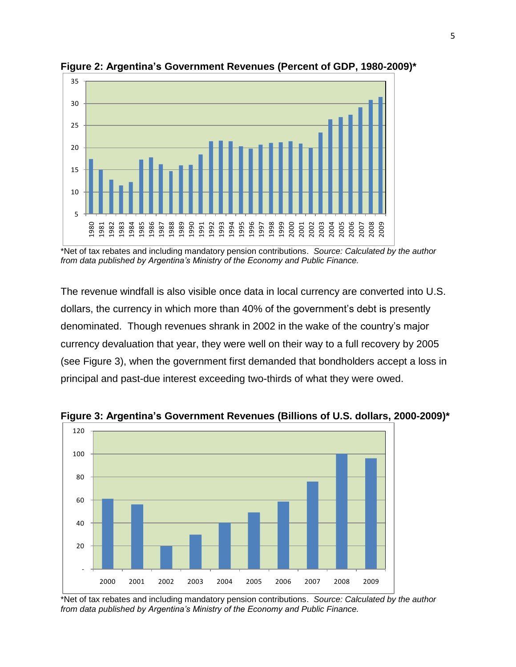

**Figure 2: Argentina's Government Revenues (Percent of GDP, 1980-2009)\***

\*Net of tax rebates and including mandatory pension contributions. *Source: Calculated by the author from data published by Argentina's Ministry of the Economy and Public Finance.*

The revenue windfall is also visible once data in local currency are converted into U.S. dollars, the currency in which more than 40% of the government's debt is presently denominated. Though revenues shrank in 2002 in the wake of the country's major currency devaluation that year, they were well on their way to a full recovery by 2005 (see Figure 3), when the government first demanded that bondholders accept a loss in principal and past-due interest exceeding two-thirds of what they were owed.



**Figure 3: Argentina's Government Revenues (Billions of U.S. dollars, 2000-2009)\***

\*Net of tax rebates and including mandatory pension contributions. *Source: Calculated by the author from data published by Argentina's Ministry of the Economy and Public Finance.*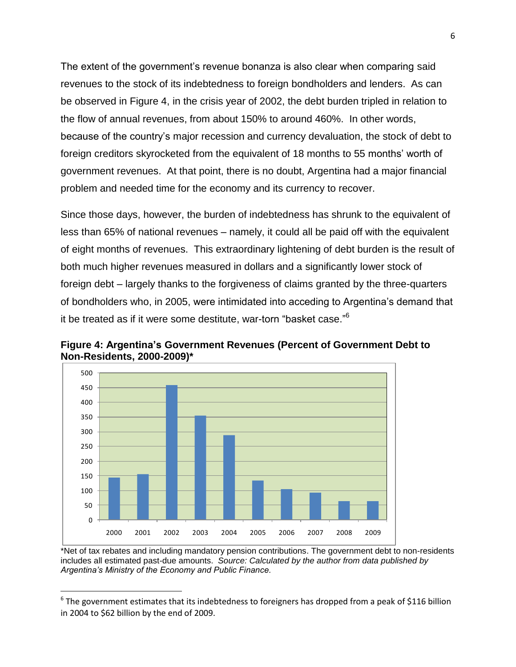The extent of the government's revenue bonanza is also clear when comparing said revenues to the stock of its indebtedness to foreign bondholders and lenders. As can be observed in Figure 4, in the crisis year of 2002, the debt burden tripled in relation to the flow of annual revenues, from about 150% to around 460%. In other words, because of the country's major recession and currency devaluation, the stock of debt to foreign creditors skyrocketed from the equivalent of 18 months to 55 months' worth of government revenues. At that point, there is no doubt, Argentina had a major financial problem and needed time for the economy and its currency to recover.

Since those days, however, the burden of indebtedness has shrunk to the equivalent of less than 65% of national revenues – namely, it could all be paid off with the equivalent of eight months of revenues. This extraordinary lightening of debt burden is the result of both much higher revenues measured in dollars and a significantly lower stock of foreign debt – largely thanks to the forgiveness of claims granted by the three-quarters of bondholders who, in 2005, were intimidated into acceding to Argentina's demand that it be treated as if it were some destitute, war-torn "basket case." 6



 $\overline{a}$ 

**Figure 4: Argentina's Government Revenues (Percent of Government Debt to Non-Residents, 2000-2009)\***

\*Net of tax rebates and including mandatory pension contributions. The government debt to non-residents includes all estimated past-due amounts. *Source: Calculated by the author from data published by Argentina's Ministry of the Economy and Public Finance.*

 $^6$  The government estimates that its indebtedness to foreigners has dropped from a peak of \$116 billion in 2004 to \$62 billion by the end of 2009.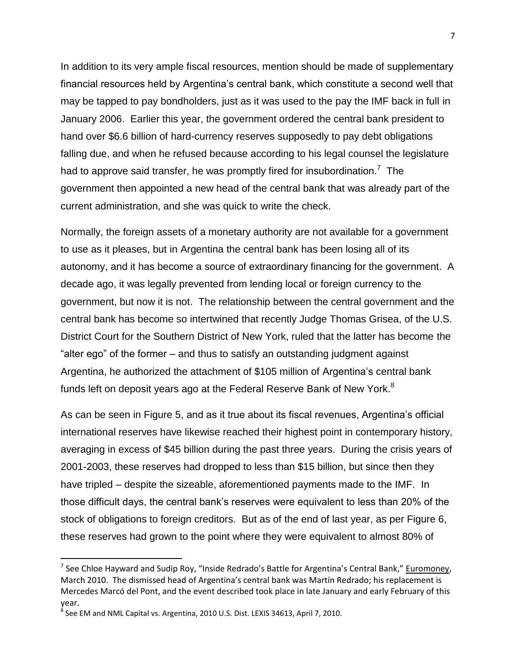In addition to its very ample fiscal resources, mention should be made of supplementary financial resources held by Argentina's central bank, which constitute a second well that may be tapped to pay bondholders, just as it was used to the pay the IMF back in full in January 2006. Earlier this year, the government ordered the central bank president to hand over \$6.6 billion of hard-currency reserves supposedly to pay debt obligations falling due, and when he refused because according to his legal counsel the legislature had to approve said transfer, he was promptly fired for insubordination.<sup>7</sup> The government then appointed a new head of the central bank that was already part of the current administration, and she was quick to write the check.

Normally, the foreign assets of a monetary authority are not available for a government to use as it pleases, but in Argentina the central bank has been losing all of its autonomy, and it has become a source of extraordinary financing for the government. A decade ago, it was legally prevented from lending local or foreign currency to the government, but now it is not. The relationship between the central government and the central bank has become so intertwined that recently Judge Thomas Grisea, of the U.S. District Court for the Southern District of New York, ruled that the latter has become the "alter ego" of the former – and thus to satisfy an outstanding judgment against Argentina, he authorized the attachment of \$105 million of Argentina's central bank funds left on deposit years ago at the Federal Reserve Bank of New York.<sup>8</sup>

As can be seen in Figure 5, and as it true about its fiscal revenues, Argentina's official international reserves have likewise reached their highest point in contemporary history, averaging in excess of \$45 billion during the past three years. During the crisis years of 2001-2003, these reserves had dropped to less than \$15 billion, but since then they have tripled – despite the sizeable, aforementioned payments made to the IMF. In those difficult days, the central bank's reserves were equivalent to less than 20% of the stock of obligations to foreign creditors. But as of the end of last year, as per Figure 6, these reserves had grown to the point where they were equivalent to almost 80% of

<sup>&</sup>lt;sup>7</sup> See Chloe Hayward and Sudip Roy, "Inside Redrado's Battle for Argentina's Central Bank," Euromoney, March 2010. The dismissed head of Argentina's central bank was Martín Redrado; his replacement is Mercedes Marcó del Pont, and the event described took place in late January and early February of this year.

 $^8$  See EM and NML Capital vs. Argentina, 2010 U.S. Dist. LEXIS 34613, April 7, 2010.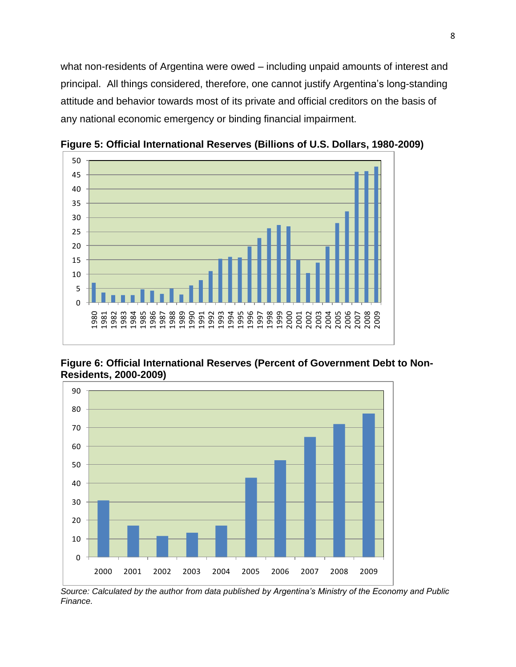what non-residents of Argentina were owed – including unpaid amounts of interest and principal. All things considered, therefore, one cannot justify Argentina's long-standing attitude and behavior towards most of its private and official creditors on the basis of any national economic emergency or binding financial impairment.



**Figure 5: Official International Reserves (Billions of U.S. Dollars, 1980-2009)**

**Figure 6: Official International Reserves (Percent of Government Debt to Non-Residents, 2000-2009)**



*Source: Calculated by the author from data published by Argentina's Ministry of the Economy and Public Finance.*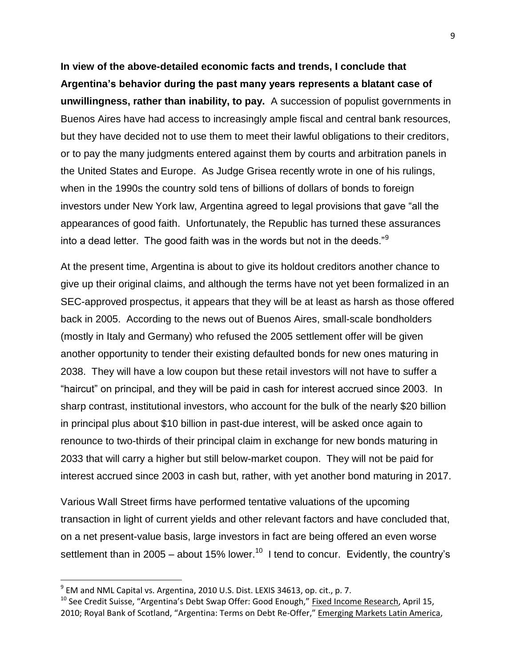**In view of the above-detailed economic facts and trends, I conclude that Argentina's behavior during the past many years represents a blatant case of unwillingness, rather than inability, to pay.** A succession of populist governments in Buenos Aires have had access to increasingly ample fiscal and central bank resources, but they have decided not to use them to meet their lawful obligations to their creditors, or to pay the many judgments entered against them by courts and arbitration panels in the United States and Europe. As Judge Grisea recently wrote in one of his rulings, when in the 1990s the country sold tens of billions of dollars of bonds to foreign investors under New York law, Argentina agreed to legal provisions that gave "all the appearances of good faith. Unfortunately, the Republic has turned these assurances into a dead letter. The good faith was in the words but not in the deeds."<sup>9</sup>

At the present time, Argentina is about to give its holdout creditors another chance to give up their original claims, and although the terms have not yet been formalized in an SEC-approved prospectus, it appears that they will be at least as harsh as those offered back in 2005. According to the news out of Buenos Aires, small-scale bondholders (mostly in Italy and Germany) who refused the 2005 settlement offer will be given another opportunity to tender their existing defaulted bonds for new ones maturing in 2038. They will have a low coupon but these retail investors will not have to suffer a "haircut" on principal, and they will be paid in cash for interest accrued since 2003. In sharp contrast, institutional investors, who account for the bulk of the nearly \$20 billion in principal plus about \$10 billion in past-due interest, will be asked once again to renounce to two-thirds of their principal claim in exchange for new bonds maturing in 2033 that will carry a higher but still below-market coupon. They will not be paid for interest accrued since 2003 in cash but, rather, with yet another bond maturing in 2017.

Various Wall Street firms have performed tentative valuations of the upcoming transaction in light of current yields and other relevant factors and have concluded that, on a net present-value basis, large investors in fact are being offered an even worse settlement than in 2005 – about 15% lower.<sup>10</sup> I tend to concur. Evidently, the country's

 $^9$  EM and NML Capital vs. Argentina, 2010 U.S. Dist. LEXIS 34613, op. cit., p. 7.

 $10$  See Credit Suisse, "Argentina's Debt Swap Offer: Good Enough," Fixed Income Research, April 15, 2010; Royal Bank of Scotland, "Argentina: Terms on Debt Re-Offer," Emerging Markets Latin America,